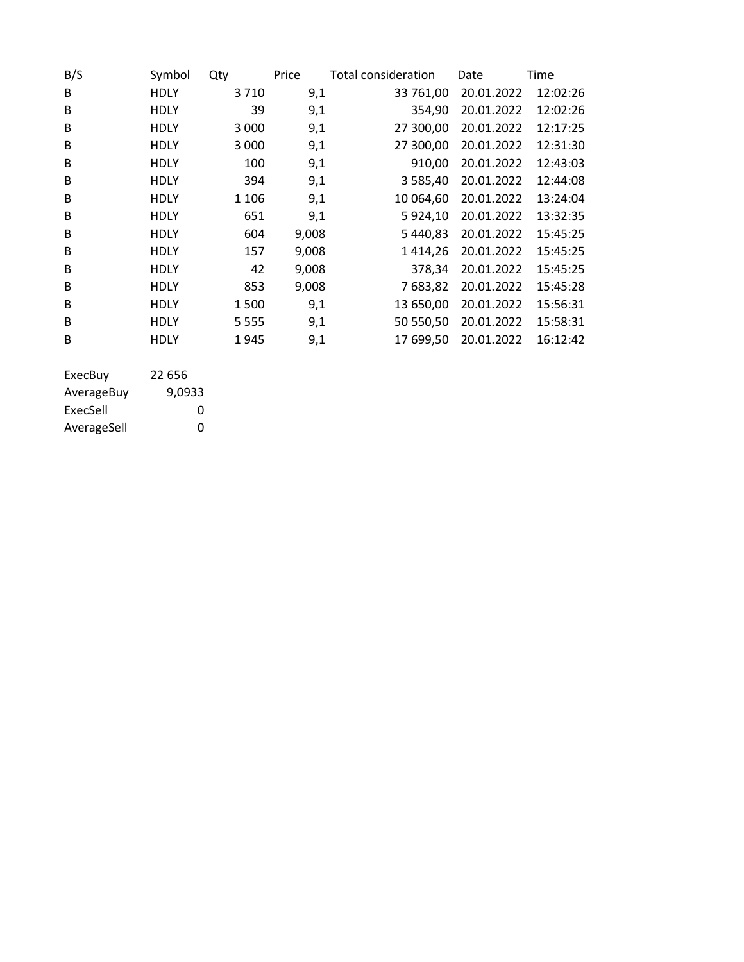| B/S | Symbol      | Qty     | Price | Total consideration | Date       | Time     |
|-----|-------------|---------|-------|---------------------|------------|----------|
| B   | <b>HDLY</b> | 3710    | 9,1   | 33 761,00           | 20.01.2022 | 12:02:26 |
| B   | HDLY        | 39      | 9,1   | 354,90              | 20.01.2022 | 12:02:26 |
| B   | <b>HDLY</b> | 3 0 0 0 | 9,1   | 27 300,00           | 20.01.2022 | 12:17:25 |
| B   | HDLY        | 3 0 0 0 | 9,1   | 27 300,00           | 20.01.2022 | 12:31:30 |
| B   | <b>HDLY</b> | 100     | 9,1   | 910,00              | 20.01.2022 | 12:43:03 |
| B   | HDLY        | 394     | 9,1   | 3 5 8 5 , 4 0       | 20.01.2022 | 12:44:08 |
| B   | HDLY        | 1 1 0 6 | 9,1   | 10 064,60           | 20.01.2022 | 13:24:04 |
| B   | HDLY        | 651     | 9,1   | 5 9 2 4 , 10        | 20.01.2022 | 13:32:35 |
| B   | HDLY        | 604     | 9,008 | 5 440,83            | 20.01.2022 | 15:45:25 |
| B   | HDLY        | 157     | 9,008 | 1414,26             | 20.01.2022 | 15:45:25 |
| B   | HDLY        | 42      | 9,008 | 378,34              | 20.01.2022 | 15:45:25 |
| B   | <b>HDLY</b> | 853     | 9,008 | 7683,82             | 20.01.2022 | 15:45:28 |
| B   | HDLY        | 1500    | 9,1   | 13 650,00           | 20.01.2022 | 15:56:31 |
| B   | <b>HDLY</b> | 5 5 5 5 | 9,1   | 50 550,50           | 20.01.2022 | 15:58:31 |
| B   | HDLY        | 1945    | 9,1   | 17 699,50           | 20.01.2022 | 16:12:42 |
|     |             |         |       |                     |            |          |
|     |             |         |       |                     |            |          |

| ExecBuy     | 22 656 |
|-------------|--------|
| AverageBuy  | 9.0933 |
| ExecSell    | O      |
| AverageSell | O      |
|             |        |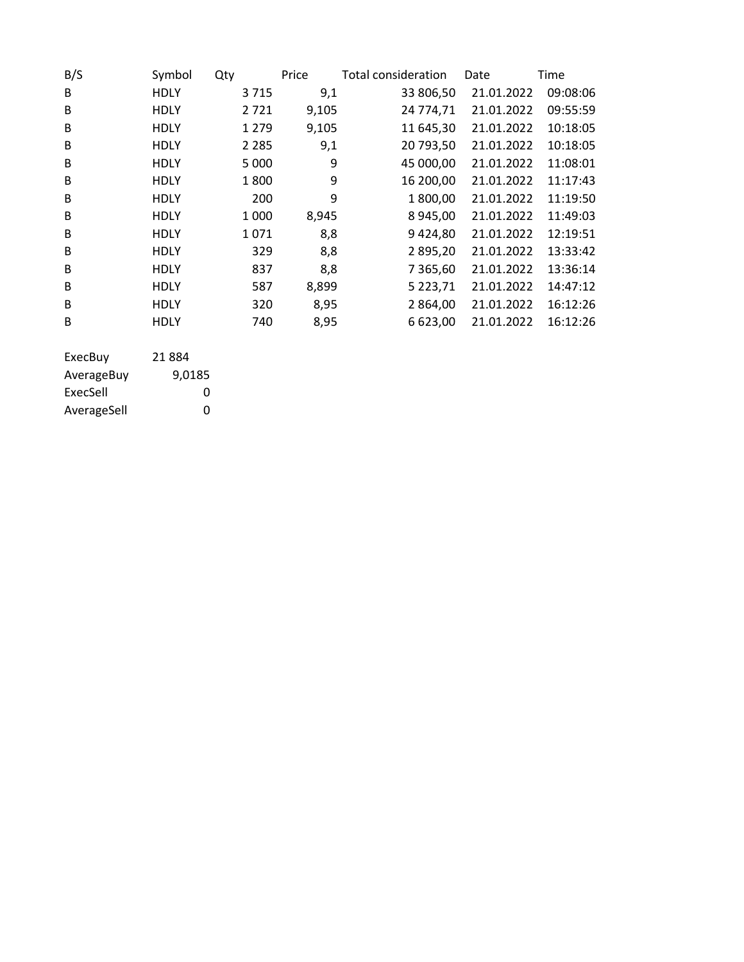| B/S     | Symbol      | Qty |         | Price | Total consideration | Date       | Time     |
|---------|-------------|-----|---------|-------|---------------------|------------|----------|
| B       | <b>HDLY</b> |     | 3715    | 9,1   | 33 806,50           | 21.01.2022 | 09:08:06 |
| B       | <b>HDLY</b> |     | 2721    | 9,105 | 24 774,71           | 21.01.2022 | 09:55:59 |
| B       | <b>HDLY</b> |     | 1 2 7 9 | 9,105 | 11 645,30           | 21.01.2022 | 10:18:05 |
| B       | <b>HDLY</b> |     | 2 2 8 5 | 9,1   | 20 793,50           | 21.01.2022 | 10:18:05 |
| B       | <b>HDLY</b> |     | 5 0 0 0 | 9     | 45 000,00           | 21.01.2022 | 11:08:01 |
| B       | <b>HDLY</b> |     | 1800    | 9     | 16 200,00           | 21.01.2022 | 11:17:43 |
| B       | <b>HDLY</b> |     | 200     | 9     | 1800,00             | 21.01.2022 | 11:19:50 |
| B       | <b>HDLY</b> |     | 1 0 0 0 | 8,945 | 8945,00             | 21.01.2022 | 11:49:03 |
| B       | <b>HDLY</b> |     | 1071    | 8,8   | 9424,80             | 21.01.2022 | 12:19:51 |
| B       | <b>HDLY</b> |     | 329     | 8,8   | 2895,20             | 21.01.2022 | 13:33:42 |
| B       | <b>HDLY</b> |     | 837     | 8,8   | 7 3 6 5 , 6 0       | 21.01.2022 | 13:36:14 |
| B       | <b>HDLY</b> |     | 587     | 8,899 | 5 2 2 3 , 7 1       | 21.01.2022 | 14:47:12 |
| B       | <b>HDLY</b> |     | 320     | 8,95  | 2 864,00            | 21.01.2022 | 16:12:26 |
| B       | <b>HDLY</b> |     | 740     | 8,95  | 6 623,00            | 21.01.2022 | 16:12:26 |
| ExecBuy | 21884       |     |         |       |                     |            |          |

| AverageBuy  | 9,0185 |
|-------------|--------|
| ExecSell    | 0      |
| AverageSell | O      |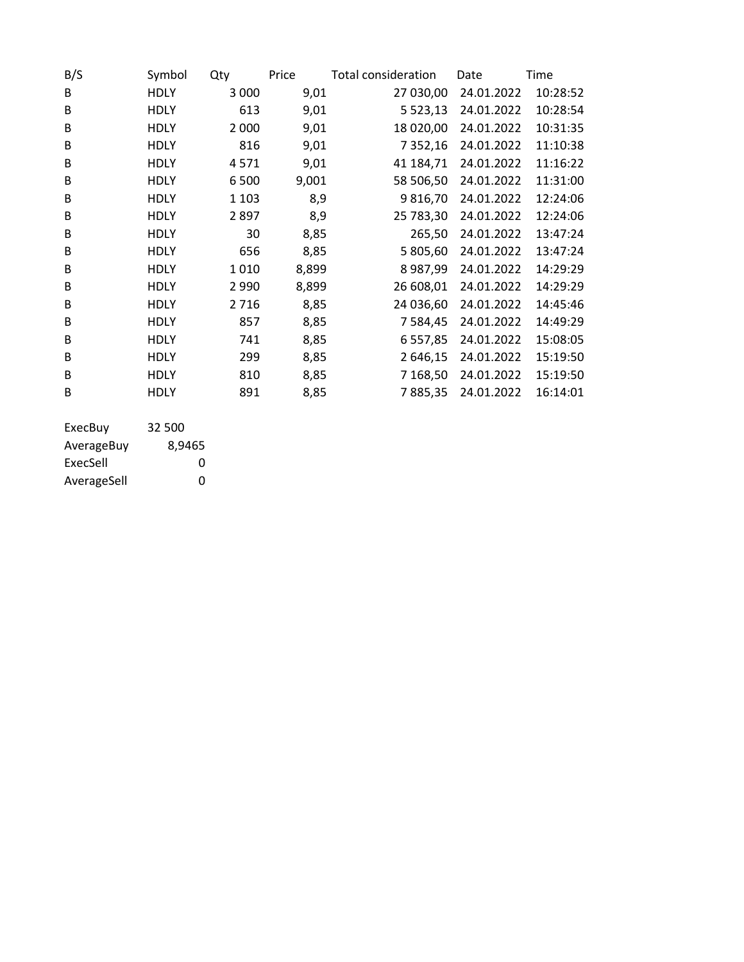| B/S     | Symbol      | Qty     | Price | <b>Total consideration</b> | Date       | Time     |
|---------|-------------|---------|-------|----------------------------|------------|----------|
| B       | <b>HDLY</b> | 3 0 0 0 | 9,01  | 27 030,00                  | 24.01.2022 | 10:28:52 |
| B       | <b>HDLY</b> | 613     | 9,01  | 5 5 2 3 , 1 3              | 24.01.2022 | 10:28:54 |
| B       | <b>HDLY</b> | 2 0 0 0 | 9,01  | 18 020,00                  | 24.01.2022 | 10:31:35 |
| B       | <b>HDLY</b> | 816     | 9,01  | 7 3 5 2 , 16               | 24.01.2022 | 11:10:38 |
| B       | <b>HDLY</b> | 4571    | 9,01  | 41 184,71                  | 24.01.2022 | 11:16:22 |
| B       | <b>HDLY</b> | 6500    | 9,001 | 58 506,50                  | 24.01.2022 | 11:31:00 |
| B       | <b>HDLY</b> | 1 1 0 3 | 8,9   | 9816,70                    | 24.01.2022 | 12:24:06 |
| B       | <b>HDLY</b> | 2897    | 8,9   | 25 783,30                  | 24.01.2022 | 12:24:06 |
| B       | <b>HDLY</b> | 30      | 8,85  | 265,50                     | 24.01.2022 | 13:47:24 |
| B       | <b>HDLY</b> | 656     | 8,85  | 5 805,60                   | 24.01.2022 | 13:47:24 |
| B       | <b>HDLY</b> | 1010    | 8,899 | 8987,99                    | 24.01.2022 | 14:29:29 |
| B       | <b>HDLY</b> | 2 9 9 0 | 8,899 | 26 608,01                  | 24.01.2022 | 14:29:29 |
| B       | <b>HDLY</b> | 2716    | 8,85  | 24 036,60                  | 24.01.2022 | 14:45:46 |
| B       | <b>HDLY</b> | 857     | 8,85  | 7 5 8 4 , 4 5              | 24.01.2022 | 14:49:29 |
| B       | <b>HDLY</b> | 741     | 8,85  | 6 5 5 7 , 8 5              | 24.01.2022 | 15:08:05 |
| B       | <b>HDLY</b> | 299     | 8,85  | 2 646,15                   | 24.01.2022 | 15:19:50 |
| B       | <b>HDLY</b> | 810     | 8,85  | 7 168,50                   | 24.01.2022 | 15:19:50 |
| B       | <b>HDLY</b> | 891     | 8,85  | 7885,35                    | 24.01.2022 | 16:14:01 |
|         |             |         |       |                            |            |          |
| ExecBuy | 32 500      |         |       |                            |            |          |

| -------     |        |
|-------------|--------|
| AverageBuy  | 8,9465 |
| ExecSell    | O      |
| AverageSell | ŋ      |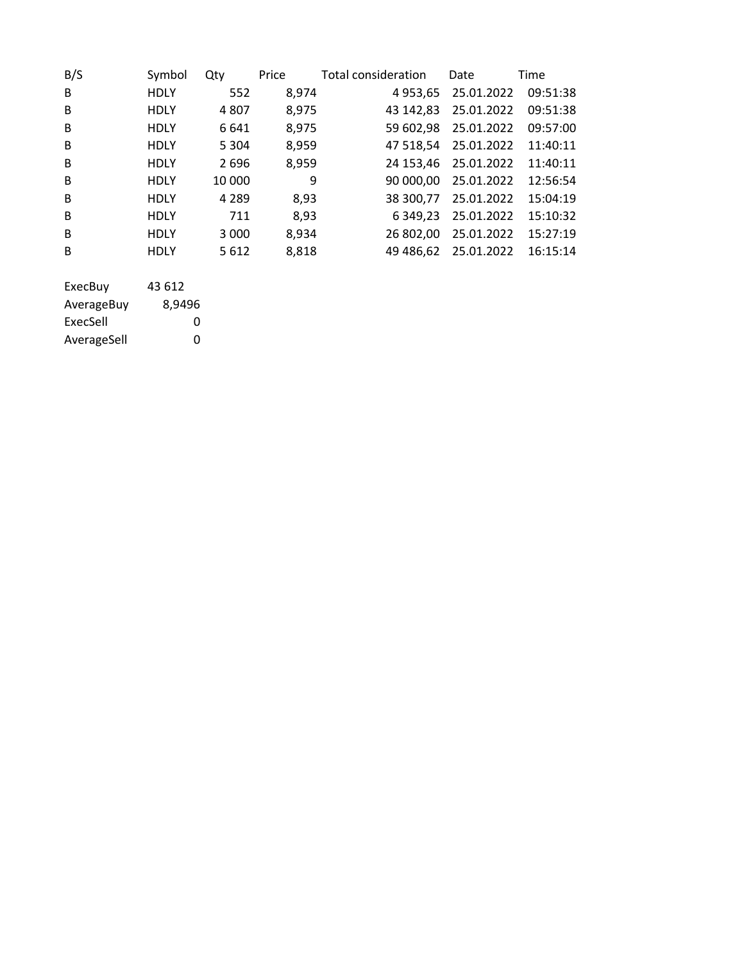| B/S                   | Symbol           | Qty     | Price | Total consideration | Date       | Time     |
|-----------------------|------------------|---------|-------|---------------------|------------|----------|
| B                     | <b>HDLY</b>      | 552     | 8,974 | 4 9 5 3 , 6 5       | 25.01.2022 | 09:51:38 |
| B                     | <b>HDLY</b>      | 4807    | 8,975 | 43 142,83           | 25.01.2022 | 09:51:38 |
| B                     | <b>HDLY</b>      | 6 6 4 1 | 8,975 | 59 602,98           | 25.01.2022 | 09:57:00 |
| B                     | <b>HDLY</b>      | 5 3 0 4 | 8,959 | 47 518,54           | 25.01.2022 | 11:40:11 |
| B                     | <b>HDLY</b>      | 2696    | 8,959 | 24 153,46           | 25.01.2022 | 11:40:11 |
| B                     | <b>HDLY</b>      | 10 000  | 9     | 90 000,00           | 25.01.2022 | 12:56:54 |
| B                     | <b>HDLY</b>      | 4 2 8 9 | 8,93  | 38 300,77           | 25.01.2022 | 15:04:19 |
| B                     | <b>HDLY</b>      | 711     | 8,93  | 6 3 4 9 , 2 3       | 25.01.2022 | 15:10:32 |
| B                     | <b>HDLY</b>      | 3 0 0 0 | 8,934 | 26 802,00           | 25.01.2022 | 15:27:19 |
| B                     | <b>HDLY</b>      | 5612    | 8,818 | 49 486,62           | 25.01.2022 | 16:15:14 |
| ExecBuy<br>AverageBuy | 43 612<br>8,9496 |         |       |                     |            |          |

ExecSell 0 AverageSell 0